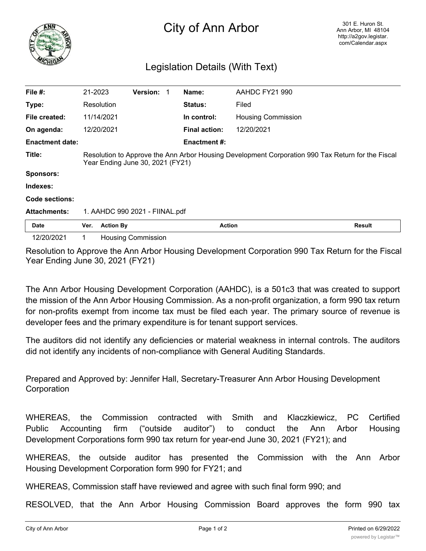

## City of Ann Arbor

## Legislation Details (With Text)

| File $#$ :             | 21-2023                                                                                                                               |                                | <b>Version:</b>           |  | Name:                | AAHDC FY21 990            |               |
|------------------------|---------------------------------------------------------------------------------------------------------------------------------------|--------------------------------|---------------------------|--|----------------------|---------------------------|---------------|
| Type:                  |                                                                                                                                       | Resolution                     |                           |  | Status:              | Filed                     |               |
| File created:          |                                                                                                                                       | 11/14/2021                     |                           |  | In control:          | <b>Housing Commission</b> |               |
| On agenda:             |                                                                                                                                       | 12/20/2021                     |                           |  | <b>Final action:</b> | 12/20/2021                |               |
| <b>Enactment date:</b> |                                                                                                                                       |                                |                           |  | <b>Enactment #:</b>  |                           |               |
| Title:                 | Resolution to Approve the Ann Arbor Housing Development Corporation 990 Tax Return for the Fiscal<br>Year Ending June 30, 2021 (FY21) |                                |                           |  |                      |                           |               |
| <b>Sponsors:</b>       |                                                                                                                                       |                                |                           |  |                      |                           |               |
| Indexes:               |                                                                                                                                       |                                |                           |  |                      |                           |               |
| Code sections:         |                                                                                                                                       |                                |                           |  |                      |                           |               |
| <b>Attachments:</b>    |                                                                                                                                       | 1. AAHDC 990 2021 - FIINAL.pdf |                           |  |                      |                           |               |
| <b>Date</b>            | Ver.                                                                                                                                  | <b>Action By</b>               |                           |  | <b>Action</b>        |                           | <b>Result</b> |
| 12/20/2021             |                                                                                                                                       |                                | <b>Housing Commission</b> |  |                      |                           |               |

Resolution to Approve the Ann Arbor Housing Development Corporation 990 Tax Return for the Fiscal Year Ending June 30, 2021 (FY21)

The Ann Arbor Housing Development Corporation (AAHDC), is a 501c3 that was created to support the mission of the Ann Arbor Housing Commission. As a non-profit organization, a form 990 tax return for non-profits exempt from income tax must be filed each year. The primary source of revenue is developer fees and the primary expenditure is for tenant support services.

The auditors did not identify any deficiencies or material weakness in internal controls. The auditors did not identify any incidents of non-compliance with General Auditing Standards.

Prepared and Approved by: Jennifer Hall, Secretary-Treasurer Ann Arbor Housing Development **Corporation** 

WHEREAS, the Commission contracted with Smith and Klaczkiewicz, PC Certified Public Accounting firm ("outside auditor") to conduct the Ann Arbor Housing Development Corporations form 990 tax return for year-end June 30, 2021 (FY21); and

WHEREAS, the outside auditor has presented the Commission with the Ann Arbor Housing Development Corporation form 990 for FY21; and

WHEREAS, Commission staff have reviewed and agree with such final form 990; and

RESOLVED, that the Ann Arbor Housing Commission Board approves the form 990 tax